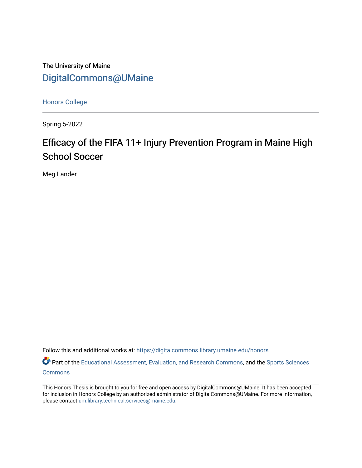The University of Maine [DigitalCommons@UMaine](https://digitalcommons.library.umaine.edu/)

[Honors College](https://digitalcommons.library.umaine.edu/honors)

Spring 5-2022

# Efficacy of the FIFA 11+ Injury Prevention Program in Maine High School Soccer

Meg Lander

Follow this and additional works at: [https://digitalcommons.library.umaine.edu/honors](https://digitalcommons.library.umaine.edu/honors?utm_source=digitalcommons.library.umaine.edu%2Fhonors%2F751&utm_medium=PDF&utm_campaign=PDFCoverPages) 

Part of the [Educational Assessment, Evaluation, and Research Commons](https://network.bepress.com/hgg/discipline/796?utm_source=digitalcommons.library.umaine.edu%2Fhonors%2F751&utm_medium=PDF&utm_campaign=PDFCoverPages), and the [Sports Sciences](https://network.bepress.com/hgg/discipline/759?utm_source=digitalcommons.library.umaine.edu%2Fhonors%2F751&utm_medium=PDF&utm_campaign=PDFCoverPages) **[Commons](https://network.bepress.com/hgg/discipline/759?utm_source=digitalcommons.library.umaine.edu%2Fhonors%2F751&utm_medium=PDF&utm_campaign=PDFCoverPages)** 

This Honors Thesis is brought to you for free and open access by DigitalCommons@UMaine. It has been accepted for inclusion in Honors College by an authorized administrator of DigitalCommons@UMaine. For more information, please contact [um.library.technical.services@maine.edu.](mailto:um.library.technical.services@maine.edu)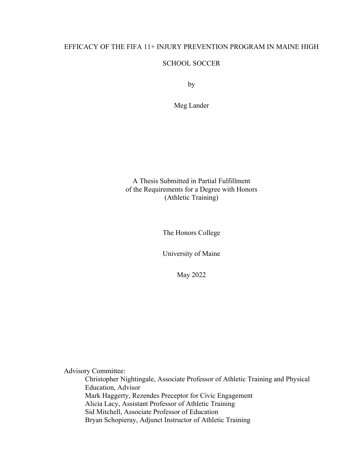### EFFICACY OF THE FIFA 11+ INJURY PREVENTION PROGRAM IN MAINE HIGH

### SCHOOL SOCCER

by

Meg Lander

A Thesis Submitted in Partial Fulfillment of the Requirements for a Degree with Honors (Athletic Training)

The Honors College

University of Maine

May 2022

Advisory Committee:

Christopher Nightingale, Associate Professor of Athletic Training and Physical Education, Advisor Mark Haggerty, Rezendes Preceptor for Civic Engagement Alicia Lacy, Assistant Professor of Athletic Training Sid Mitchell, Associate Professor of Education Bryan Schopieray, Adjunct Instructor of Athletic Training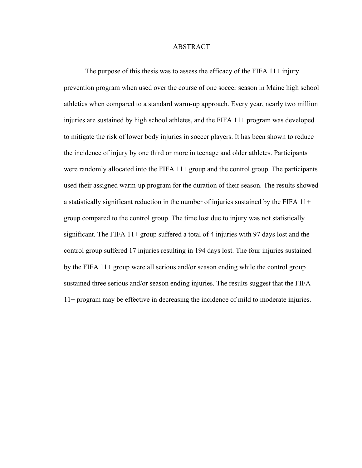### ABSTRACT

The purpose of this thesis was to assess the efficacy of the FIFA  $11+$  injury prevention program when used over the course of one soccer season in Maine high school athletics when compared to a standard warm-up approach. Every year, nearly two million injuries are sustained by high school athletes, and the FIFA 11+ program was developed to mitigate the risk of lower body injuries in soccer players. It has been shown to reduce the incidence of injury by one third or more in teenage and older athletes. Participants were randomly allocated into the FIFA  $11+$  group and the control group. The participants used their assigned warm-up program for the duration of their season. The results showed a statistically significant reduction in the number of injuries sustained by the FIFA 11+ group compared to the control group. The time lost due to injury was not statistically significant. The FIFA 11+ group suffered a total of 4 injuries with 97 days lost and the control group suffered 17 injuries resulting in 194 days lost. The four injuries sustained by the FIFA 11+ group were all serious and/or season ending while the control group sustained three serious and/or season ending injuries. The results suggest that the FIFA 11+ program may be effective in decreasing the incidence of mild to moderate injuries.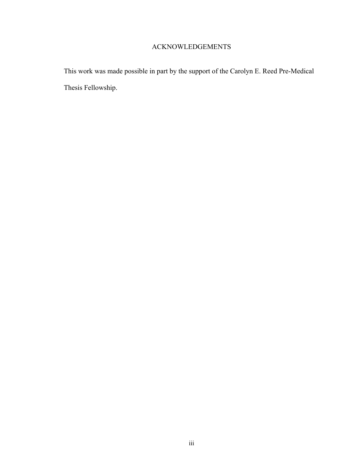# ACKNOWLEDGEMENTS

This work was made possible in part by the support of the Carolyn E. Reed Pre-Medical Thesis Fellowship.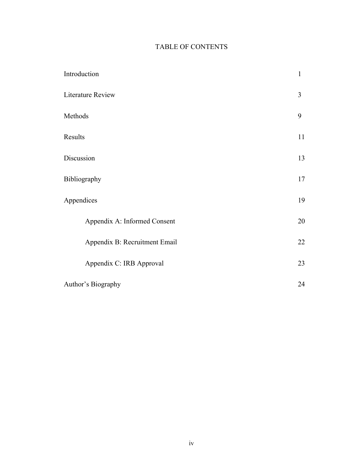# TABLE OF CONTENTS

| Introduction                  | $\mathbf{1}$ |
|-------------------------------|--------------|
| Literature Review             | 3            |
| Methods                       | 9            |
| Results                       | 11           |
| Discussion                    | 13           |
| Bibliography                  | 17           |
| Appendices                    | 19           |
| Appendix A: Informed Consent  | 20           |
| Appendix B: Recruitment Email | 22           |
| Appendix C: IRB Approval      | 23           |
| Author's Biography            | 24           |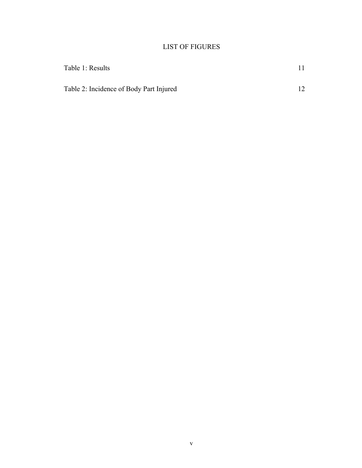# LIST OF FIGURES

| Table 1: Results                        |  |
|-----------------------------------------|--|
| Table 2: Incidence of Body Part Injured |  |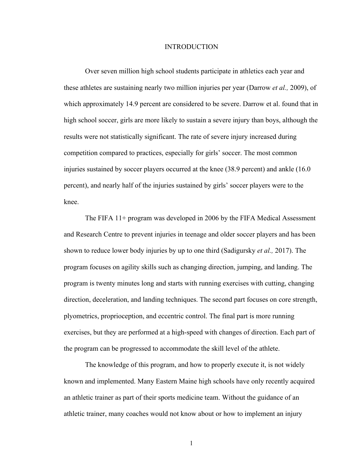### INTRODUCTION

Over seven million high school students participate in athletics each year and these athletes are sustaining nearly two million injuries per year (Darrow *et al.,* 2009), of which approximately 14.9 percent are considered to be severe. Darrow et al. found that in high school soccer, girls are more likely to sustain a severe injury than boys, although the results were not statistically significant. The rate of severe injury increased during competition compared to practices, especially for girls' soccer. The most common injuries sustained by soccer players occurred at the knee (38.9 percent) and ankle (16.0 percent), and nearly half of the injuries sustained by girls' soccer players were to the knee.

The FIFA 11+ program was developed in 2006 by the FIFA Medical Assessment and Research Centre to prevent injuries in teenage and older soccer players and has been shown to reduce lower body injuries by up to one third (Sadigursky *et al.,* 2017). The program focuses on agility skills such as changing direction, jumping, and landing. The program is twenty minutes long and starts with running exercises with cutting, changing direction, deceleration, and landing techniques. The second part focuses on core strength, plyometrics, proprioception, and eccentric control. The final part is more running exercises, but they are performed at a high-speed with changes of direction. Each part of the program can be progressed to accommodate the skill level of the athlete.

The knowledge of this program, and how to properly execute it, is not widely known and implemented. Many Eastern Maine high schools have only recently acquired an athletic trainer as part of their sports medicine team. Without the guidance of an athletic trainer, many coaches would not know about or how to implement an injury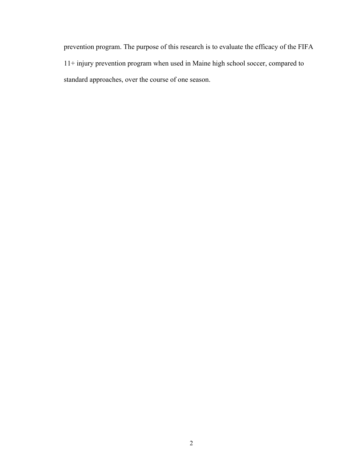prevention program. The purpose of this research is to evaluate the efficacy of the FIFA 11+ injury prevention program when used in Maine high school soccer, compared to standard approaches, over the course of one season.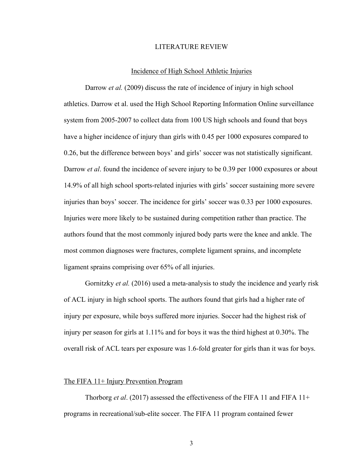### LITERATURE REVIEW

### Incidence of High School Athletic Injuries

Darrow *et al.* (2009) discuss the rate of incidence of injury in high school athletics. Darrow et al. used the High School Reporting Information Online surveillance system from 2005-2007 to collect data from 100 US high schools and found that boys have a higher incidence of injury than girls with 0.45 per 1000 exposures compared to 0.26, but the difference between boys' and girls' soccer was not statistically significant. Darrow *et al*. found the incidence of severe injury to be 0.39 per 1000 exposures or about 14.9% of all high school sports-related injuries with girls' soccer sustaining more severe injuries than boys' soccer. The incidence for girls' soccer was 0.33 per 1000 exposures. Injuries were more likely to be sustained during competition rather than practice. The authors found that the most commonly injured body parts were the knee and ankle. The most common diagnoses were fractures, complete ligament sprains, and incomplete ligament sprains comprising over 65% of all injuries.

Gornitzky *et al.* (2016) used a meta-analysis to study the incidence and yearly risk of ACL injury in high school sports. The authors found that girls had a higher rate of injury per exposure, while boys suffered more injuries. Soccer had the highest risk of injury per season for girls at 1.11% and for boys it was the third highest at 0.30%. The overall risk of ACL tears per exposure was 1.6-fold greater for girls than it was for boys.

### The FIFA 11+ Injury Prevention Program

Thorborg *et al*. (2017) assessed the effectiveness of the FIFA 11 and FIFA 11+ programs in recreational/sub-elite soccer. The FIFA 11 program contained fewer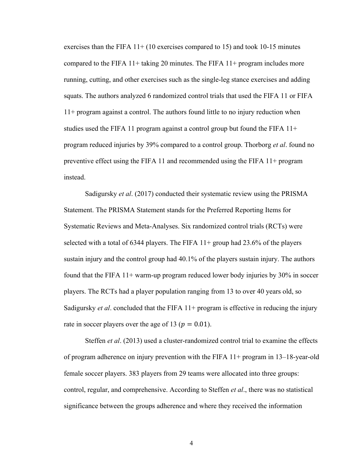exercises than the FIFA 11+ (10 exercises compared to 15) and took 10-15 minutes compared to the FIFA 11+ taking 20 minutes. The FIFA 11+ program includes more running, cutting, and other exercises such as the single-leg stance exercises and adding squats. The authors analyzed 6 randomized control trials that used the FIFA 11 or FIFA 11+ program against a control. The authors found little to no injury reduction when studies used the FIFA 11 program against a control group but found the FIFA 11+ program reduced injuries by 39% compared to a control group. Thorborg *et al*. found no preventive effect using the FIFA 11 and recommended using the FIFA 11+ program instead.

Sadigursky *et al*. (2017) conducted their systematic review using the PRISMA Statement. The PRISMA Statement stands for the Preferred Reporting Items for Systematic Reviews and Meta-Analyses. Six randomized control trials (RCTs) were selected with a total of 6344 players. The FIFA  $11+$  group had 23.6% of the players sustain injury and the control group had 40.1% of the players sustain injury. The authors found that the FIFA 11+ warm-up program reduced lower body injuries by 30% in soccer players. The RCTs had a player population ranging from 13 to over 40 years old, so Sadigursky *et al*. concluded that the FIFA 11+ program is effective in reducing the injury rate in soccer players over the age of 13 ( $p = 0.01$ ).

Steffen *et al*. (2013) used a cluster-randomized control trial to examine the effects of program adherence on injury prevention with the FIFA 11+ program in 13–18-year-old female soccer players. 383 players from 29 teams were allocated into three groups: control, regular, and comprehensive. According to Steffen *et al*., there was no statistical significance between the groups adherence and where they received the information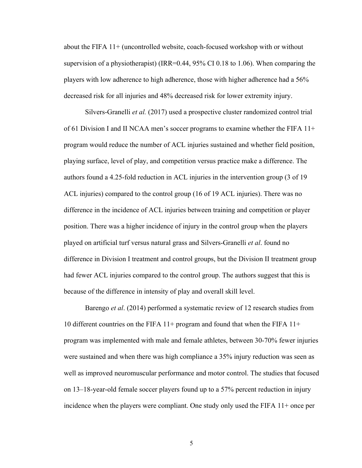about the FIFA 11+ (uncontrolled website, coach-focused workshop with or without supervision of a physiotherapist) (IRR=0.44, 95% CI 0.18 to 1.06). When comparing the players with low adherence to high adherence, those with higher adherence had a 56% decreased risk for all injuries and 48% decreased risk for lower extremity injury.

Silvers-Granelli *et al.* (2017) used a prospective cluster randomized control trial of 61 Division I and II NCAA men's soccer programs to examine whether the FIFA 11+ program would reduce the number of ACL injuries sustained and whether field position, playing surface, level of play, and competition versus practice make a difference. The authors found a 4.25-fold reduction in ACL injuries in the intervention group (3 of 19 ACL injuries) compared to the control group (16 of 19 ACL injuries). There was no difference in the incidence of ACL injuries between training and competition or player position. There was a higher incidence of injury in the control group when the players played on artificial turf versus natural grass and Silvers-Granelli *et al*. found no difference in Division I treatment and control groups, but the Division II treatment group had fewer ACL injuries compared to the control group. The authors suggest that this is because of the difference in intensity of play and overall skill level.

Barengo *et al*. (2014) performed a systematic review of 12 research studies from 10 different countries on the FIFA 11+ program and found that when the FIFA 11+ program was implemented with male and female athletes, between 30-70% fewer injuries were sustained and when there was high compliance a 35% injury reduction was seen as well as improved neuromuscular performance and motor control. The studies that focused on 13–18-year-old female soccer players found up to a 57% percent reduction in injury incidence when the players were compliant. One study only used the FIFA 11+ once per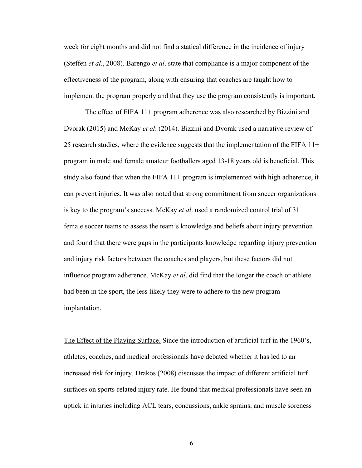week for eight months and did not find a statical difference in the incidence of injury (Steffen *et al*., 2008). Barengo *et al*. state that compliance is a major component of the effectiveness of the program, along with ensuring that coaches are taught how to implement the program properly and that they use the program consistently is important.

The effect of FIFA 11+ program adherence was also researched by Bizzini and Dvorak (2015) and McKay *et al*. (2014). Bizzini and Dvorak used a narrative review of 25 research studies, where the evidence suggests that the implementation of the FIFA 11+ program in male and female amateur footballers aged 13-18 years old is beneficial. This study also found that when the FIFA  $11+$  program is implemented with high adherence, it can prevent injuries. It was also noted that strong commitment from soccer organizations is key to the program's success. McKay *et al*. used a randomized control trial of 31 female soccer teams to assess the team's knowledge and beliefs about injury prevention and found that there were gaps in the participants knowledge regarding injury prevention and injury risk factors between the coaches and players, but these factors did not influence program adherence. McKay *et al*. did find that the longer the coach or athlete had been in the sport, the less likely they were to adhere to the new program implantation.

The Effect of the Playing Surface. Since the introduction of artificial turf in the 1960's, athletes, coaches, and medical professionals have debated whether it has led to an increased risk for injury. Drakos (2008) discusses the impact of different artificial turf surfaces on sports-related injury rate. He found that medical professionals have seen an uptick in injuries including ACL tears, concussions, ankle sprains, and muscle soreness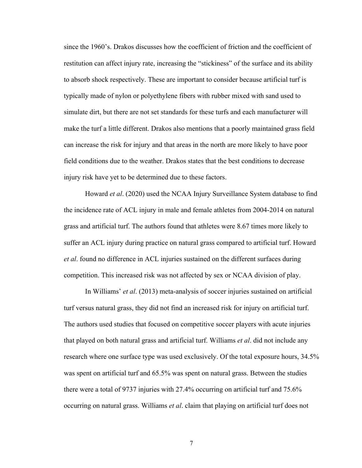since the 1960's. Drakos discusses how the coefficient of friction and the coefficient of restitution can affect injury rate, increasing the "stickiness" of the surface and its ability to absorb shock respectively. These are important to consider because artificial turf is typically made of nylon or polyethylene fibers with rubber mixed with sand used to simulate dirt, but there are not set standards for these turfs and each manufacturer will make the turf a little different. Drakos also mentions that a poorly maintained grass field can increase the risk for injury and that areas in the north are more likely to have poor field conditions due to the weather. Drakos states that the best conditions to decrease injury risk have yet to be determined due to these factors.

Howard *et al*. (2020) used the NCAA Injury Surveillance System database to find the incidence rate of ACL injury in male and female athletes from 2004-2014 on natural grass and artificial turf. The authors found that athletes were 8.67 times more likely to suffer an ACL injury during practice on natural grass compared to artificial turf. Howard *et al*. found no difference in ACL injuries sustained on the different surfaces during competition. This increased risk was not affected by sex or NCAA division of play.

In Williams' *et al*. (2013) meta-analysis of soccer injuries sustained on artificial turf versus natural grass, they did not find an increased risk for injury on artificial turf. The authors used studies that focused on competitive soccer players with acute injuries that played on both natural grass and artificial turf. Williams *et al*. did not include any research where one surface type was used exclusively. Of the total exposure hours, 34.5% was spent on artificial turf and 65.5% was spent on natural grass. Between the studies there were a total of 9737 injuries with 27.4% occurring on artificial turf and 75.6% occurring on natural grass. Williams *et al*. claim that playing on artificial turf does not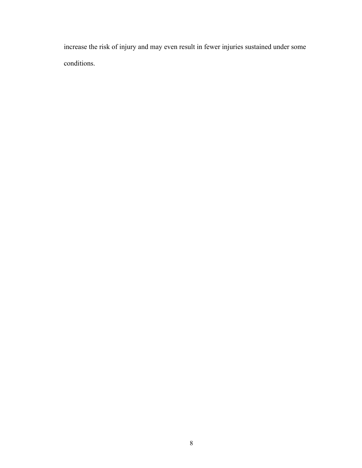increase the risk of injury and may even result in fewer injuries sustained under some conditions.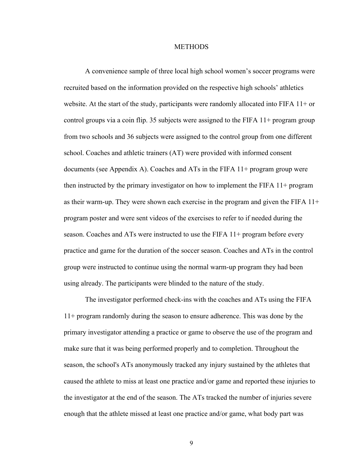### **METHODS**

A convenience sample of three local high school women's soccer programs were recruited based on the information provided on the respective high schools' athletics website. At the start of the study, participants were randomly allocated into FIFA 11+ or control groups via a coin flip. 35 subjects were assigned to the FIFA 11+ program group from two schools and 36 subjects were assigned to the control group from one different school. Coaches and athletic trainers (AT) were provided with informed consent documents (see Appendix A). Coaches and ATs in the FIFA 11+ program group were then instructed by the primary investigator on how to implement the FIFA 11+ program as their warm-up. They were shown each exercise in the program and given the FIFA 11+ program poster and were sent videos of the exercises to refer to if needed during the season. Coaches and ATs were instructed to use the FIFA 11+ program before every practice and game for the duration of the soccer season. Coaches and ATs in the control group were instructed to continue using the normal warm-up program they had been using already. The participants were blinded to the nature of the study.

The investigator performed check-ins with the coaches and ATs using the FIFA 11+ program randomly during the season to ensure adherence. This was done by the primary investigator attending a practice or game to observe the use of the program and make sure that it was being performed properly and to completion. Throughout the season, the school's ATs anonymously tracked any injury sustained by the athletes that caused the athlete to miss at least one practice and/or game and reported these injuries to the investigator at the end of the season. The ATs tracked the number of injuries severe enough that the athlete missed at least one practice and/or game, what body part was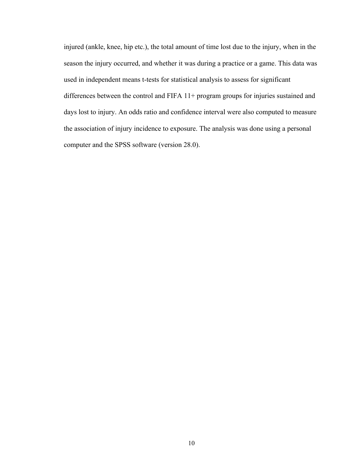injured (ankle, knee, hip etc.), the total amount of time lost due to the injury, when in the season the injury occurred, and whether it was during a practice or a game. This data was used in independent means t-tests for statistical analysis to assess for significant differences between the control and FIFA 11+ program groups for injuries sustained and days lost to injury. An odds ratio and confidence interval were also computed to measure the association of injury incidence to exposure. The analysis was done using a personal computer and the SPSS software (version 28.0).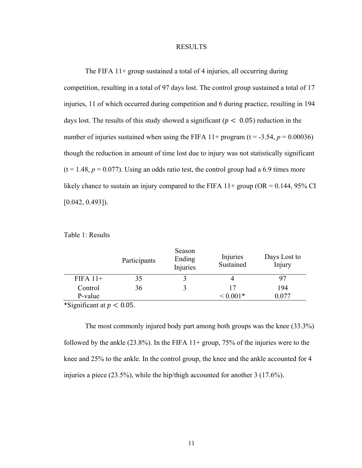### RESULTS

The FIFA 11+ group sustained a total of 4 injuries, all occurring during competition, resulting in a total of 97 days lost. The control group sustained a total of 17 injuries, 11 of which occurred during competition and 6 during practice, resulting in 194 days lost. The results of this study showed a significant ( $p < 0.05$ ) reduction in the number of injuries sustained when using the FIFA  $11+$  program (t = -3.54,  $p = 0.00036$ ) though the reduction in amount of time lost due to injury was not statistically significant  $(t = 1.48, p = 0.077)$ . Using an odds ratio test, the control group had a 6.9 times more likely chance to sustain an injury compared to the FIFA  $11+$  group (OR = 0.144, 95% CI  $[0.042, 0.493]$ .

|            | Participants | Season<br>Ending<br>Injuries | Injuries<br>Sustained | Days Lost to<br>Injury |
|------------|--------------|------------------------------|-----------------------|------------------------|
| $FIFA 11+$ | 35           |                              |                       |                        |
| Control    | 36           |                              | 17                    | 194                    |
| P-value    |              |                              | $0.001*$              | 0.077                  |

Table 1: Results

\*Significant at  $p < 0.05$ .

The most commonly injured body part among both groups was the knee (33.3%) followed by the ankle  $(23.8\%)$ . In the FIFA 11+ group, 75% of the injuries were to the knee and 25% to the ankle. In the control group, the knee and the ankle accounted for 4 injuries a piece (23.5%), while the hip/thigh accounted for another 3 (17.6%).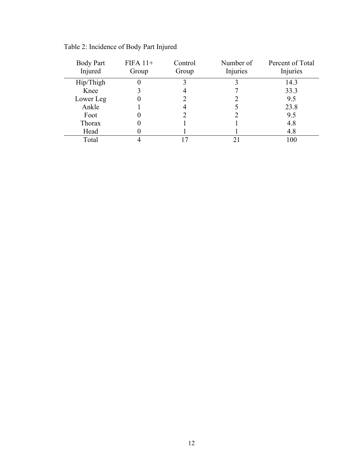| <b>Body Part</b><br>Injured | $FIFA 11+$<br>Group | Control<br>Group | Number of<br>Injuries | Percent of Total<br>Injuries |
|-----------------------------|---------------------|------------------|-----------------------|------------------------------|
| Hip/Thigh                   |                     |                  |                       | 14.3                         |
| Knee                        |                     |                  |                       | 33.3                         |
| Lower Leg                   |                     |                  |                       | 9.5                          |
| Ankle                       |                     |                  |                       | 23.8                         |
| Foot                        |                     |                  |                       | 9.5                          |
| Thorax                      |                     |                  |                       | 4.8                          |
| Head                        |                     |                  |                       | 4.8                          |
| Total                       |                     |                  | 21                    | 100                          |

Table 2: Incidence of Body Part Injured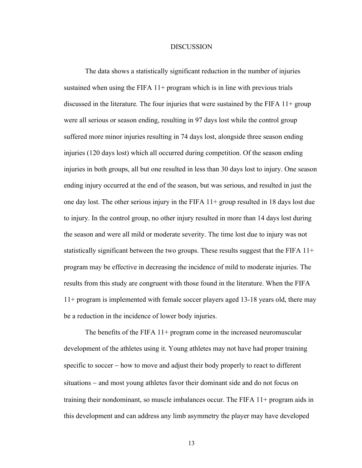### **DISCUSSION**

The data shows a statistically significant reduction in the number of injuries sustained when using the FIFA  $11+$  program which is in line with previous trials discussed in the literature. The four injuries that were sustained by the FIFA  $11+$  group were all serious or season ending, resulting in 97 days lost while the control group suffered more minor injuries resulting in 74 days lost, alongside three season ending injuries (120 days lost) which all occurred during competition. Of the season ending injuries in both groups, all but one resulted in less than 30 days lost to injury. One season ending injury occurred at the end of the season, but was serious, and resulted in just the one day lost. The other serious injury in the FIFA 11+ group resulted in 18 days lost due to injury. In the control group, no other injury resulted in more than 14 days lost during the season and were all mild or moderate severity. The time lost due to injury was not statistically significant between the two groups. These results suggest that the FIFA 11+ program may be effective in decreasing the incidence of mild to moderate injuries. The results from this study are congruent with those found in the literature. When the FIFA 11+ program is implemented with female soccer players aged 13-18 years old, there may be a reduction in the incidence of lower body injuries.

The benefits of the FIFA  $11+$  program come in the increased neuromuscular development of the athletes using it. Young athletes may not have had proper training specific to soccer – how to move and adjust their body properly to react to different situations - and most young athletes favor their dominant side and do not focus on training their nondominant, so muscle imbalances occur. The FIFA 11+ program aids in this development and can address any limb asymmetry the player may have developed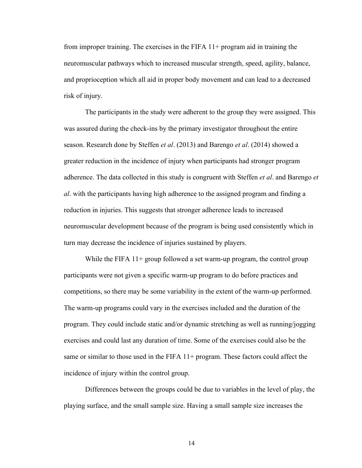from improper training. The exercises in the FIFA 11+ program aid in training the neuromuscular pathways which to increased muscular strength, speed, agility, balance, and proprioception which all aid in proper body movement and can lead to a decreased risk of injury.

The participants in the study were adherent to the group they were assigned. This was assured during the check-ins by the primary investigator throughout the entire season. Research done by Steffen *et al*. (2013) and Barengo *et al*. (2014) showed a greater reduction in the incidence of injury when participants had stronger program adherence. The data collected in this study is congruent with Steffen *et al*. and Barengo *et al*. with the participants having high adherence to the assigned program and finding a reduction in injuries. This suggests that stronger adherence leads to increased neuromuscular development because of the program is being used consistently which in turn may decrease the incidence of injuries sustained by players.

While the FIFA  $11+$  group followed a set warm-up program, the control group participants were not given a specific warm-up program to do before practices and competitions, so there may be some variability in the extent of the warm-up performed. The warm-up programs could vary in the exercises included and the duration of the program. They could include static and/or dynamic stretching as well as running/jogging exercises and could last any duration of time. Some of the exercises could also be the same or similar to those used in the FIFA 11+ program. These factors could affect the incidence of injury within the control group.

Differences between the groups could be due to variables in the level of play, the playing surface, and the small sample size. Having a small sample size increases the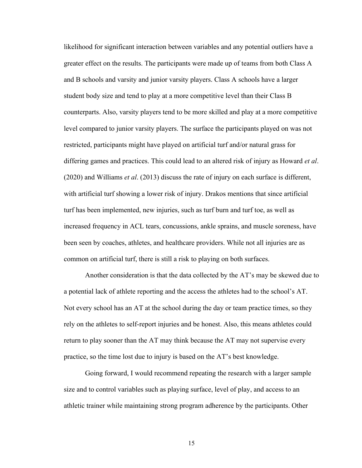likelihood for significant interaction between variables and any potential outliers have a greater effect on the results. The participants were made up of teams from both Class A and B schools and varsity and junior varsity players. Class A schools have a larger student body size and tend to play at a more competitive level than their Class B counterparts. Also, varsity players tend to be more skilled and play at a more competitive level compared to junior varsity players. The surface the participants played on was not restricted, participants might have played on artificial turf and/or natural grass for differing games and practices. This could lead to an altered risk of injury as Howard *et al*. (2020) and Williams *et al*. (2013) discuss the rate of injury on each surface is different, with artificial turf showing a lower risk of injury. Drakos mentions that since artificial turf has been implemented, new injuries, such as turf burn and turf toe, as well as increased frequency in ACL tears, concussions, ankle sprains, and muscle soreness, have been seen by coaches, athletes, and healthcare providers. While not all injuries are as common on artificial turf, there is still a risk to playing on both surfaces.

Another consideration is that the data collected by the AT's may be skewed due to a potential lack of athlete reporting and the access the athletes had to the school's AT. Not every school has an AT at the school during the day or team practice times, so they rely on the athletes to self-report injuries and be honest. Also, this means athletes could return to play sooner than the AT may think because the AT may not supervise every practice, so the time lost due to injury is based on the AT's best knowledge.

Going forward, I would recommend repeating the research with a larger sample size and to control variables such as playing surface, level of play, and access to an athletic trainer while maintaining strong program adherence by the participants. Other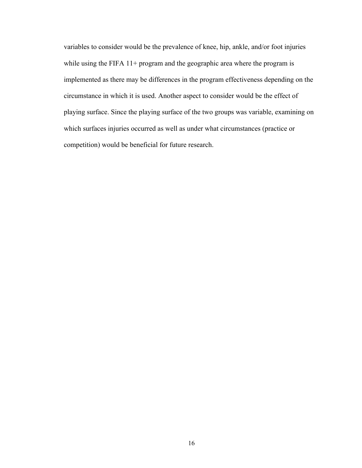variables to consider would be the prevalence of knee, hip, ankle, and/or foot injuries while using the FIFA 11+ program and the geographic area where the program is implemented as there may be differences in the program effectiveness depending on the circumstance in which it is used. Another aspect to consider would be the effect of playing surface. Since the playing surface of the two groups was variable, examining on which surfaces injuries occurred as well as under what circumstances (practice or competition) would be beneficial for future research.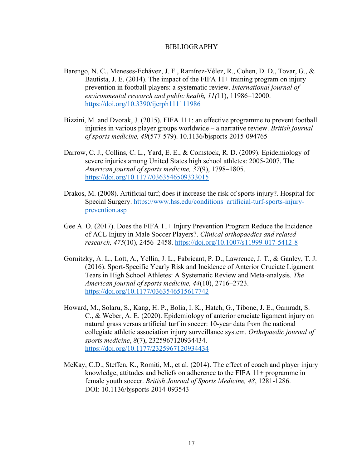### BIBLIOGRAPHY

- Barengo, N. C., Meneses-Echávez, J. F., Ramírez-Vélez, R., Cohen, D. D., Tovar, G., & Bautista, J. E. (2014). The impact of the FIFA 11+ training program on injury prevention in football players: a systematic review. *International journal of environmental research and public health, 11(*11), 11986–12000. https://doi.org/10.3390/ijerph111111986
- Bizzini, M. and Dvorak, J. (2015). FIFA 11+: an effective programme to prevent football injuries in various player groups worldwide – a narrative review. *British journal of sports medicine, 49*(577-579). 10.1136/bjsports-2015-094765
- Darrow, C. J., Collins, C. L., Yard, E. E., & Comstock, R. D. (2009). Epidemiology of severe injuries among United States high school athletes: 2005-2007. The *American journal of sports medicine, 37*(9), 1798–1805. https://doi.org/10.1177/0363546509333015
- Drakos, M. (2008). Artificial turf; does it increase the risk of sports injury?. Hospital for Special Surgery. https://www.hss.edu/conditions\_artificial-turf-sports-injuryprevention.asp
- Gee A. O. (2017). Does the FIFA 11+ Injury Prevention Program Reduce the Incidence of ACL Injury in Male Soccer Players?. *Clinical orthopaedics and related research, 475*(10), 2456–2458. https://doi.org/10.1007/s11999-017-5412-8
- Gornitzky, A. L., Lott, A., Yellin, J. L., Fabricant, P. D., Lawrence, J. T., & Ganley, T. J. (2016). Sport-Specific Yearly Risk and Incidence of Anterior Cruciate Ligament Tears in High School Athletes: A Systematic Review and Meta-analysis. *The American journal of sports medicine, 44*(10), 2716–2723. https://doi.org/10.1177/0363546515617742
- Howard, M., Solaru, S., Kang, H. P., Bolia, I. K., Hatch, G., Tibone, J. E., Gamradt, S. C., & Weber, A. E. (2020). Epidemiology of anterior cruciate ligament injury on natural grass versus artificial turf in soccer: 10-year data from the national collegiate athletic association injury surveillance system. *Orthopaedic journal of sports medicine*, *8*(7), 2325967120934434. https://doi.org/10.1177/2325967120934434
- McKay, C.D., Steffen, K., Romiti, M., et al. (2014). The effect of coach and player injury knowledge, attitudes and beliefs on adherence to the FIFA 11+ programme in female youth soccer. *British Journal of Sports Medicine, 48*, 1281-1286. DOI: 10.1136/bjsports-2014-093543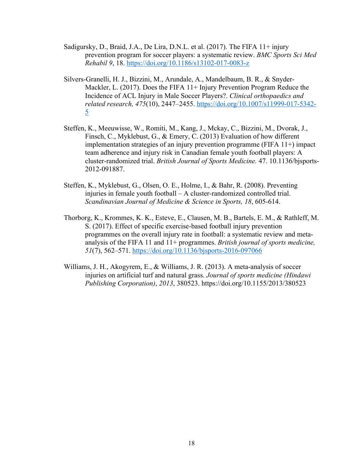- Sadigursky, D., Braid, J.A., De Lira, D.N.L. et al. (2017). The FIFA 11+ injury prevention program for soccer players: a systematic review. *BMC Sports Sci Med Rehabil 9*, 18. https://doi.org/10.1186/s13102-017-0083-z
- Silvers-Granelli, H. J., Bizzini, M., Arundale, A., Mandelbaum, B. R., & Snyder-Mackler, L. (2017). Does the FIFA 11+ Injury Prevention Program Reduce the Incidence of ACL Injury in Male Soccer Players?. *Clinical orthopaedics and related research, 475*(10), 2447–2455. https://doi.org/10.1007/s11999-017-5342- 5
- Steffen, K., Meeuwisse, W., Romiti, M., Kang, J., Mckay, C., Bizzini, M., Dvorak, J., Finsch, C., Myklebust, G., & Emery, C. (2013) Evaluation of how different implementation strategies of an injury prevention programme (FIFA 11+) impact team adherence and injury risk in Canadian female youth football players: A cluster-randomized trial. *British Journal of Sports Medicine.* 47. 10.1136/bjsports-2012-091887.
- Steffen, K., Myklebust, G., Olsen, O. E., Holme, I., & Bahr, R. (2008). Preventing injuries in female youth football – A cluster-randomized controlled trial. *Scandinavian Journal of Medicine & Science in Sports, 18*, 605-614.
- Thorborg, K., Krommes, K. K., Esteve, E., Clausen, M. B., Bartels, E. M., & Rathleff, M. S. (2017). Effect of specific exercise-based football injury prevention programmes on the overall injury rate in football: a systematic review and metaanalysis of the FIFA 11 and 11+ programmes. *British journal of sports medicine, 51*(7), 562–571. https://doi.org/10.1136/bjsports-2016-097066
- Williams, J. H., Akogyrem, E., & Williams, J. R. (2013). A meta-analysis of soccer injuries on artificial turf and natural grass. *Journal of sports medicine (Hindawi Publishing Corporation)*, *2013*, 380523. https://doi.org/10.1155/2013/380523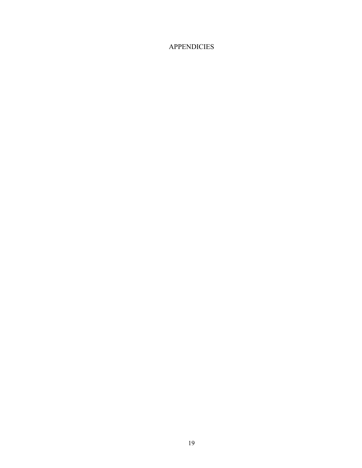# **APPENDICIES**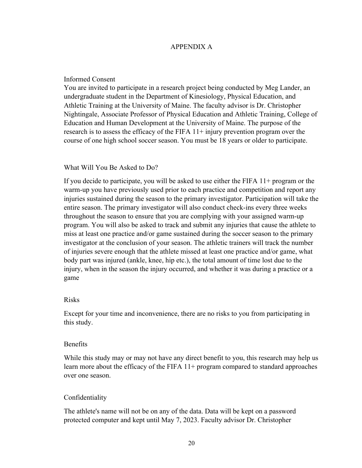### APPENDIX A

### Informed Consent

You are invited to participate in a research project being conducted by Meg Lander, an undergraduate student in the Department of Kinesiology, Physical Education, and Athletic Training at the University of Maine. The faculty advisor is Dr. Christopher Nightingale, Associate Professor of Physical Education and Athletic Training, College of Education and Human Development at the University of Maine. The purpose of the research is to assess the efficacy of the FIFA 11+ injury prevention program over the course of one high school soccer season. You must be 18 years or older to participate.

### What Will You Be Asked to Do?

If you decide to participate, you will be asked to use either the FIFA 11+ program or the warm-up you have previously used prior to each practice and competition and report any injuries sustained during the season to the primary investigator. Participation will take the entire season. The primary investigator will also conduct check-ins every three weeks throughout the season to ensure that you are complying with your assigned warm-up program. You will also be asked to track and submit any injuries that cause the athlete to miss at least one practice and/or game sustained during the soccer season to the primary investigator at the conclusion of your season. The athletic trainers will track the number of injuries severe enough that the athlete missed at least one practice and/or game, what body part was injured (ankle, knee, hip etc.), the total amount of time lost due to the injury, when in the season the injury occurred, and whether it was during a practice or a game

### Risks

Except for your time and inconvenience, there are no risks to you from participating in this study.

### **Benefits**

While this study may or may not have any direct benefit to you, this research may help us learn more about the efficacy of the FIFA 11+ program compared to standard approaches over one season.

### Confidentiality

The athlete's name will not be on any of the data. Data will be kept on a password protected computer and kept until May 7, 2023. Faculty advisor Dr. Christopher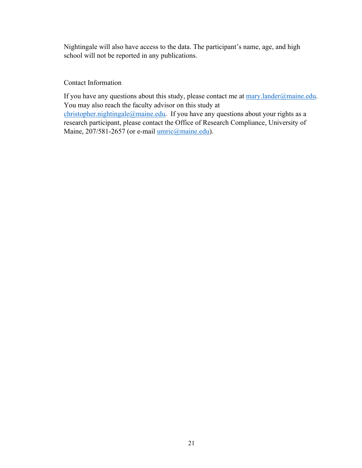Nightingale will also have access to the data. The participant's name, age, and high school will not be reported in any publications.

### Contact Information

If you have any questions about this study, please contact me at  $\frac{mary.length}{mq}$ . You may also reach the faculty advisor on this study at christopher.nightingale@maine.edu. If you have any questions about your rights as a

research participant, please contact the Office of Research Compliance, University of Maine, 207/581-2657 (or e-mail *umric@maine.edu*).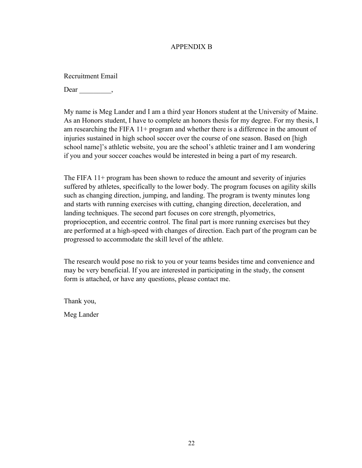### APPENDIX B

Recruitment Email

Dear  $\qquad \qquad$ 

My name is Meg Lander and I am a third year Honors student at the University of Maine. As an Honors student, I have to complete an honors thesis for my degree. For my thesis, I am researching the FIFA 11+ program and whether there is a difference in the amount of injuries sustained in high school soccer over the course of one season. Based on [high school name]'s athletic website, you are the school's athletic trainer and I am wondering if you and your soccer coaches would be interested in being a part of my research.

The FIFA 11+ program has been shown to reduce the amount and severity of injuries suffered by athletes, specifically to the lower body. The program focuses on agility skills such as changing direction, jumping, and landing. The program is twenty minutes long and starts with running exercises with cutting, changing direction, deceleration, and landing techniques. The second part focuses on core strength, plyometrics, proprioception, and eccentric control. The final part is more running exercises but they are performed at a high-speed with changes of direction. Each part of the program can be progressed to accommodate the skill level of the athlete.

The research would pose no risk to you or your teams besides time and convenience and may be very beneficial. If you are interested in participating in the study, the consent form is attached, or have any questions, please contact me.

Thank you,

Meg Lander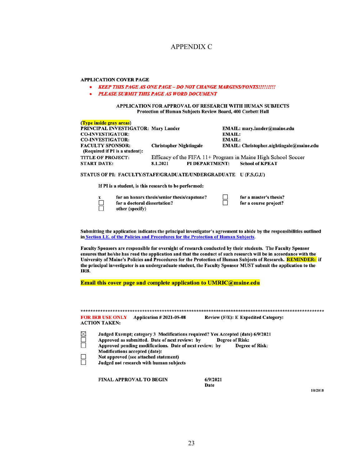### APPENDIX C

#### **APPLICATION COVER PAGE**

#### • KEEP THIS PAGE AS ONE PAGE - DO NOT CHANGE MARGINS/FONTS!!!!!!!!!

**PLEASE SUBMIT THIS PAGE AS WORD DOCUMENT** 

#### APPLICATION FOR APPROVAL OF RESEARCH WITH HUMAN SUBJECTS Protection of Human Subjects Review Board, 400 Corbett Hall

| (Type inside gray areas)                                       |                                |                |               |                                                              |
|----------------------------------------------------------------|--------------------------------|----------------|---------------|--------------------------------------------------------------|
| PRINCIPAL INVESTIGATOR: Mary Lander                            |                                |                |               | EMAIL: mary.lander@maine.edu                                 |
| <b>CO-INVESTIGATOR:</b>                                        |                                |                | <b>EMAIL:</b> |                                                              |
| <b>CO-INVESTIGATOR:</b>                                        |                                |                | <b>EMAIL:</b> |                                                              |
| <b>FACULTY SPONSOR:</b>                                        | <b>Christopher Nightingale</b> |                |               | EMAIL: Christopher.nightingale@maine.edu                     |
| (Required if PI is a student):                                 |                                |                |               |                                                              |
| <b>TITLE OF PROJECT:</b>                                       |                                |                |               | Efficacy of the FIFA 11+ Program in Maine High School Soccer |
| <b>START DATE:</b>                                             | 8.1.2021                       | PI DEPARTMENT: |               | <b>School of KPEAT</b>                                       |
| STATUS OF PI: FACULTY/STAFF/GRADUATE/UNDERGRADUATE U (F,S,G,U) |                                |                |               |                                                              |

If PI is a student, is this research to be performed:

| for an honors thesis/senior thesis/capstone?<br>$\mathbf x$<br>for a doctoral dissertation?<br>other (specify) |  | for a master's thesis?<br>for a course project? |
|----------------------------------------------------------------------------------------------------------------|--|-------------------------------------------------|
|----------------------------------------------------------------------------------------------------------------|--|-------------------------------------------------|

Submitting the application indicates the principal investigator's agreement to abide by the responsibilities outlined in Section I.E. of the Policies and Procedures for the Protection of Human Subjects.

Faculty Sponsors are responsible for oversight of research conducted by their students. The Faculty Sponsor ensures that he/she has read the application and that the conduct of such research will be in accordance with the University of Maine's Policies and Procedures for the Protection of Human Subjects of Research. REMINDER: if the principal investigator is an undergraduate student, the Faculty Sponsor MUST submit the application to the IRB.

Email this cover page and complete application to UMRIC@maine.edu

|                    | <b>FOR IRB USE ONLY</b><br><b>ACTION TAKEN:</b> | Application # 2021-05-08                                                                                                                                                                      | Review (F/E): E Expedited Category:                                                                                                |
|--------------------|-------------------------------------------------|-----------------------------------------------------------------------------------------------------------------------------------------------------------------------------------------------|------------------------------------------------------------------------------------------------------------------------------------|
| $\frac{1}{2}$<br>R | <b>Modifications accepted (date):</b>           | Approved as submitted. Date of next review: by<br>Approved pending modifications. Date of next review: by<br>Not approved (see attached statement)<br>Judged not research with human subjects | Judged Exempt; category 3 Modifications required? Yes Accepted (date) 6/9/2021<br><b>Degree of Risk:</b><br><b>Degree of Risk:</b> |

**FINAL APPROVAL TO BEGIN** 

 $6/9/2021$ Date

10/2018